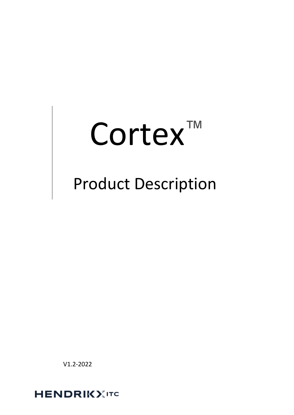# Cortex<sup>™</sup>

## Product Description

V1.2-2022

**HENDRIKXITC**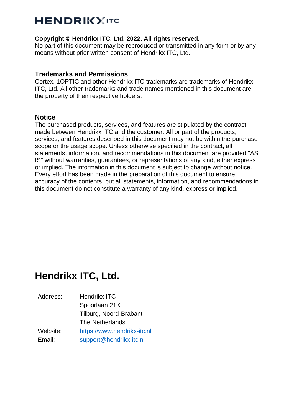#### **Copyright © Hendrikx ITC, Ltd. 2022. All rights reserved.**

No part of this document may be reproduced or transmitted in any form or by any means without prior written consent of Hendrikx ITC, Ltd.

#### **Trademarks and Permissions**

Cortex, 1OPTIC and other Hendrikx ITC trademarks are trademarks of Hendrikx ITC, Ltd. All other trademarks and trade names mentioned in this document are the property of their respective holders.

#### **Notice**

The purchased products, services, and features are stipulated by the contract made between Hendrikx ITC and the customer. All or part of the products, services, and features described in this document may not be within the purchase scope or the usage scope. Unless otherwise specified in the contract, all statements, information, and recommendations in this document are provided "AS IS" without warranties, guarantees, or representations of any kind, either express or implied. The information in this document is subject to change without notice. Every effort has been made in the preparation of this document to ensure accuracy of the contents, but all statements, information, and recommendations in this document do not constitute a warranty of any kind, express or implied.

## **Hendrikx ITC, Ltd.**

Address: Hendrikx ITC Spoorlaan 21K Tilburg, Noord-Brabant The Netherlands Website: [https://www.hendrikx-itc.nl](https://www.hendrikx-itc.nl/) Email: [support@hendrikx-itc.nl](mailto:support@hendrikx-itc.nl)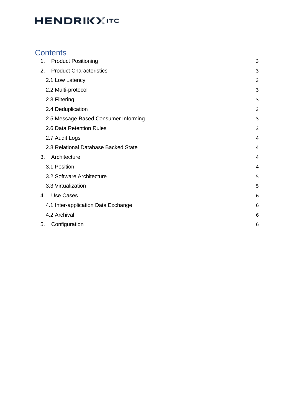### **Contents**

| 1. | <b>Product Positioning</b>           | 3 |
|----|--------------------------------------|---|
| 2. | <b>Product Characteristics</b>       | 3 |
|    | 2.1 Low Latency                      | 3 |
|    | 2.2 Multi-protocol                   | 3 |
|    | 2.3 Filtering                        | 3 |
|    | 2.4 Deduplication                    | 3 |
|    | 2.5 Message-Based Consumer Informing | 3 |
|    | 2.6 Data Retention Rules             | 3 |
|    | 2.7 Audit Logs                       | 4 |
|    | 2.8 Relational Database Backed State | 4 |
| 3. | Architecture                         | 4 |
|    | 3.1 Position                         | 4 |
|    | 3.2 Software Architecture            | 5 |
|    | 3.3 Virtualization                   | 5 |
| 4. | Use Cases                            | 6 |
|    | 4.1 Inter-application Data Exchange  | 6 |
|    | 4.2 Archival                         | 6 |
| 5. | Configuration                        | 6 |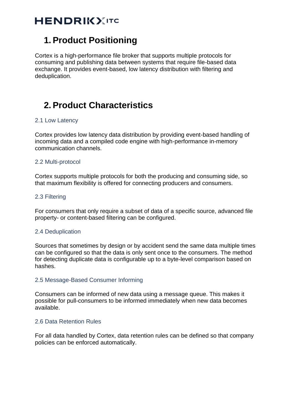## <span id="page-3-0"></span>**1. Product Positioning**

Cortex is a high-performance file broker that supports multiple protocols for consuming and publishing data between systems that require file-based data exchange. It provides event-based, low latency distribution with filtering and deduplication.

## <span id="page-3-1"></span>**2. Product Characteristics**

#### <span id="page-3-2"></span>2.1 Low Latency

Cortex provides low latency data distribution by providing event-based handling of incoming data and a compiled code engine with high-performance in-memory communication channels.

#### <span id="page-3-3"></span>2.2 Multi-protocol

Cortex supports multiple protocols for both the producing and consuming side, so that maximum flexibility is offered for connecting producers and consumers.

#### <span id="page-3-4"></span>2.3 Filtering

For consumers that only require a subset of data of a specific source, advanced file property- or content-based filtering can be configured.

#### <span id="page-3-5"></span>2.4 Deduplication

Sources that sometimes by design or by accident send the same data multiple times can be configured so that the data is only sent once to the consumers. The method for detecting duplicate data is configurable up to a byte-level comparison based on hashes.

#### <span id="page-3-6"></span>2.5 Message-Based Consumer Informing

Consumers can be informed of new data using a message queue. This makes it possible for pull-consumers to be informed immediately when new data becomes available.

#### <span id="page-3-7"></span>2.6 Data Retention Rules

For all data handled by Cortex, data retention rules can be defined so that company policies can be enforced automatically.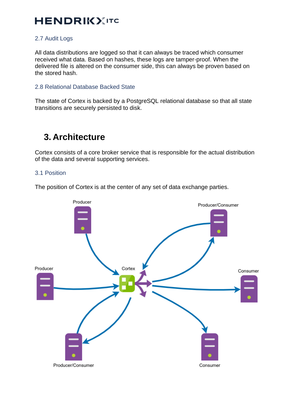#### <span id="page-4-0"></span>2.7 Audit Logs

All data distributions are logged so that it can always be traced which consumer received what data. Based on hashes, these logs are tamper-proof. When the delivered file is altered on the consumer side, this can always be proven based on the stored hash.

#### <span id="page-4-1"></span>2.8 Relational Database Backed State

The state of Cortex is backed by a PostgreSQL relational database so that all state transitions are securely persisted to disk.

## <span id="page-4-2"></span>**3. Architecture**

Cortex consists of a core broker service that is responsible for the actual distribution of the data and several supporting services.

#### <span id="page-4-3"></span>3.1 Position

The position of Cortex is at the center of any set of data exchange parties.

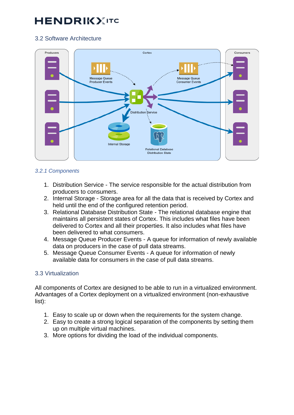#### <span id="page-5-0"></span>3.2 Software Architecture



#### *3.2.1 Components*

- 1. Distribution Service The service responsible for the actual distribution from producers to consumers.
- 2. Internal Storage Storage area for all the data that is received by Cortex and held until the end of the configured retention period.
- 3. Relational Database Distribution State The relational database engine that maintains all persistent states of Cortex. This includes what files have been delivered to Cortex and all their properties. It also includes what files have been delivered to what consumers.
- 4. Message Queue Producer Events A queue for information of newly available data on producers in the case of pull data streams.
- 5. Message Queue Consumer Events A queue for information of newly available data for consumers in the case of pull data streams.

#### <span id="page-5-1"></span>3.3 Virtualization

All components of Cortex are designed to be able to run in a virtualized environment. Advantages of a Cortex deployment on a virtualized environment (non-exhaustive list):

- 1. Easy to scale up or down when the requirements for the system change.
- 2. Easy to create a strong logical separation of the components by setting them up on multiple virtual machines.
- 3. More options for dividing the load of the individual components.